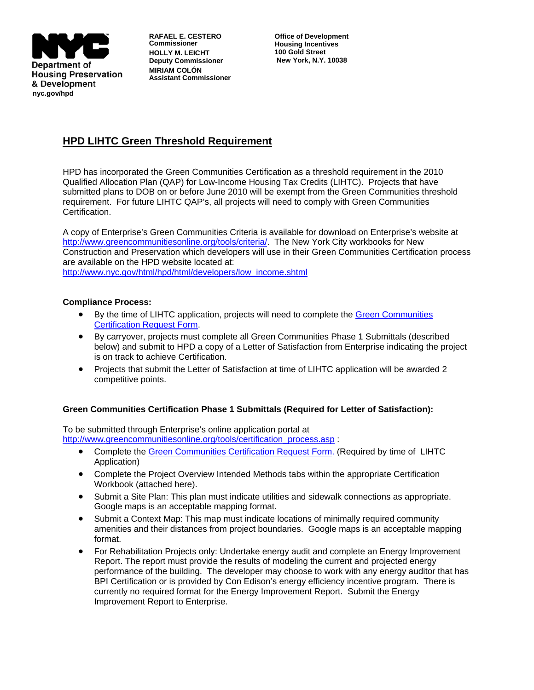

**RAFAEL E. CESTERO Commissioner HOLLY M. LEICHT Deputy Commissioner MIRIAM COLÓN Assistant Commissioner** 

**Office of Development Housing Incentives 100 Gold Street New York, N.Y. 10038** 

## **HPD LIHTC Green Threshold Requirement**

HPD has incorporated the Green Communities Certification as a threshold requirement in the 2010 Qualified Allocation Plan (QAP) for Low-Income Housing Tax Credits (LIHTC). Projects that have submitted plans to DOB on or before June 2010 will be exempt from the Green Communities threshold requirement. For future LIHTC QAP's, all projects will need to comply with Green Communities Certification.

A copy of Enterprise's Green Communities Criteria is available for download on Enterprise's website at <http://www.greencommunitiesonline.org/tools/criteria/>. The New York City workbooks for New Construction and Preservation which developers will use in their Green Communities Certification process are available on the HPD website located at: [http://www.nyc.gov/html/hpd/html/developers/low\\_income.shtml](http://www.nyc.gov/html/hpd/html/developers/low_income.shtml)

## **Compliance Process:**

- By the time of LIHTC application, projects will need to complete the [Green Communities](http://www.startadev.com/Clients/ECP/jericho/r.sh?content=Journal/PublicApplication/AddSubmission&applicationid=27&aid=126600&sid=1120752168&cid=1974513855)  [Certification Request Form.](http://www.startadev.com/Clients/ECP/jericho/r.sh?content=Journal/PublicApplication/AddSubmission&applicationid=27&aid=126600&sid=1120752168&cid=1974513855)
- By carryover, projects must complete all Green Communities Phase 1 Submittals (described below) and submit to HPD a copy of a Letter of Satisfaction from Enterprise indicating the project is on track to achieve Certification.
- Projects that submit the Letter of Satisfaction at time of LIHTC application will be awarded 2 competitive points.

## **Green Communities Certification Phase 1 Submittals (Required for Letter of Satisfaction):**

To be submitted through Enterprise's online application portal at [http://www.greencommunitiesonline.org/tools/certification\\_process.asp](http://www.greencommunitiesonline.org/tools/certification_process.asp) :

- Complete the [Green Communities Certification Request Form.](http://www.startadev.com/Clients/ECP/jericho/r.sh?content=Journal/PublicApplication/AddSubmission&applicationid=27&aid=126600&sid=1120752168&cid=1974513855) (Required by time of LIHTC Application)
- Complete the Project Overview Intended Methods tabs within the appropriate Certification Workbook (attached here).
- Submit a Site Plan: This plan must indicate utilities and sidewalk connections as appropriate. Google maps is an acceptable mapping format.
- Submit a Context Map: This map must indicate locations of minimally required community amenities and their distances from project boundaries. Google maps is an acceptable mapping format.
- For Rehabilitation Projects only: Undertake energy audit and complete an Energy Improvement Report. The report must provide the results of modeling the current and projected energy performance of the building. The developer may choose to work with any energy auditor that has BPI Certification or is provided by Con Edison's energy efficiency incentive program. There is currently no required format for the Energy Improvement Report. Submit the Energy Improvement Report to Enterprise.